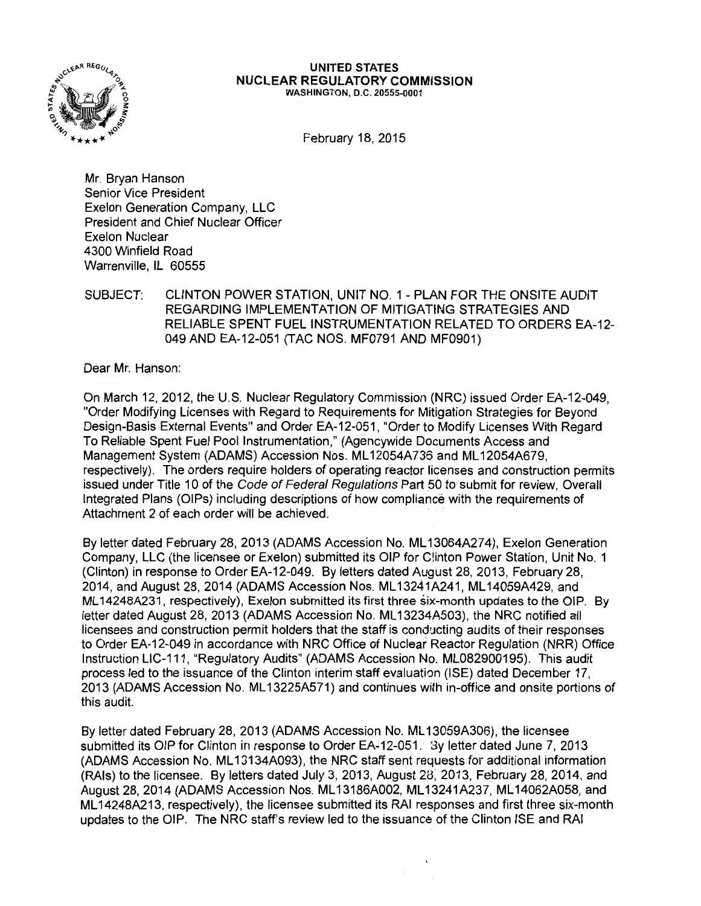

#### UNITED STATES NUCLEAR REGULATORY COMMISSION WASHINGTON, D.C. 20555-0001

February 18, 2015

Mr. Bryan Hanson Senior Vice President Exelon Generation Company, LLC President and Chief Nuclear Officer Exelon Nuclear 4300 Winfield Road Warrenville, IL 60555

SUBJECT: CLINTON POWER STATION, UNIT NO. 1 - PLAN FOR THE ONSITE AUDIT REGARDING IMPLEMENTATION OF MITIGATING STRATEGIES AND RELIABLE SPENT FUEL INSTRUMENTATION RELATED TO ORDERS EA-12- 049 AND EA-12-051 (TAC NOS. MF0791 AND MF0901)

Dear Mr. Hanson:

On March 12, 2012, the U.S. Nuclear Regulatory Commission (NRC) issued Order EA-12-049, "Order Modifying Licenses with Regard to Requirements for Mitigation Strategies for Beyond Design-Basis External Events" and Order EA-12-051, "Order to Modify Licenses With Regard To Reliable Spent Fuel Pool Instrumentation," (Agencywide Documents Access and Management System (ADAMS) Accession Nos. ML 12054A736 and ML 12054A679, respectively). The orders require holders of operating reactor licenses and construction permits issued under Title 10 of the Code of Federal Regulations Part 50 to submit for review, Overall Integrated Plans (OIPs) including descriptions of how compliance with the requirements of Attachment 2 of each order will be achieved.

By letter dated February 28, 2013 (ADAMS Accession No. ML 13064A274), Exelon Generation Company, LLC (the licensee or Exelon) submitted its OIP for C!inton Power Station, Unit No. 1 (Clinton) in response to Order EA-12-049. By letters dated August 28, 2013, February 28, 2014, and August 28, 2014 (ADAMS Accession Nos. ML 13241A241, ML 14059A429, and ML 14248A231, respectively), Exelon submitted its first three six-month updates to the OIP. By letter dated August 28, 2013 (ADAMS Accession No. ML13234A503), the NRC notified all licensees and construction permit holders that the staff is conducting audits of their responses to Order EA-12-049 in accordance with NRC Office of Nuclear Reactor Regulation (NRR) Office Instruction LIC-111, "Regulatory Audits" (ADAMS Accession No. ML082900195). This audit process led to the issuance of the Clinton interim staff evaluation (ISE) dated December 17, 2013 (ADAMS Accession No. ML 13225A571) and continues with in-office and onsite portions of this audit.

By letter dated February 28, 2013 (ADAMS Accession No. ML 13059A306), the licensee submitted its OIP for Clinton in response to Order EA-12-051. 3y letter dated June 7, 2013 (ADAMS Accession No. ML 13134A093), the NRC staff sent requests for additional information (RAls) to the licensee. By letters dated July 3, 2013, August 28; 2013, February 28, 2014, and August 28, 2014 (ADAMS Accession Nos. ML 13186A002, ML 13241A237, ML 14062A058, and ML 14248A213, respectively), the licensee submitted its RAI responses and first three six-month updates to the OIP. The NRC staff's review led to the issuance of the Clinton ISE and RAI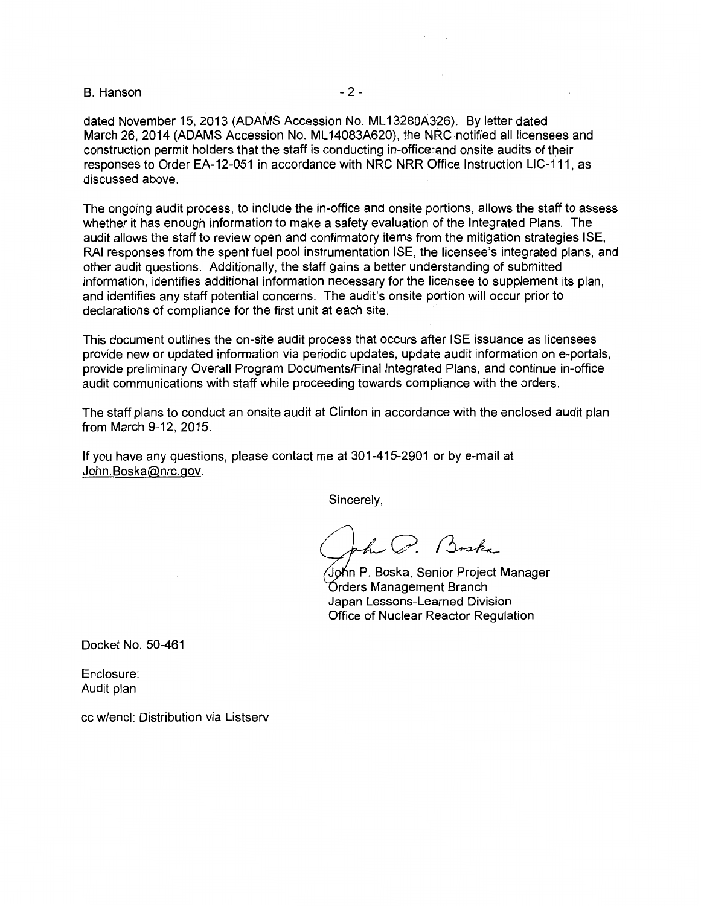B. Hanson - 2 -

dated November 15, 2013 (ADAMS Accession No. ML 13280A326). By letter dated March 26, 2014 (ADAMS Accession No. ML14083A620), the NRC notified all licensees and construction permit holders that the staff is conducting in-office:and onsite audits of their responses to Order EA-12-051 in accordance with NRC NRR Office. Instruction LIC-111, as discussed above.

The ongoing audit process, to include the in-office and onsite portions, allows the staff to assess whether it has enough information to make a safety evaluation of the Integrated Plans. The audit allows the staff to review open and confirmatory items from the mitigation strategies ISE, RAI responses from the spent fuel pool instrumentation ISE, the licensee's integrated plans, and other audit questions. Additionally, the staff gains a better understanding of submitted information, identifies additional information necessary for the licensee to supplement its plan, and identifies any staff potential concerns. The audit's onsite portion will occur prior to declarations of compliance for the first unit at each site.

This document outlines the on-site audit process that occurs after ISE issuance as licensees provide new or updated information via periodic updates, update audit information on e-portals, provide preliminary Overall Program Documents/Final Integrated Plans, and continue in-office audit communications with staff while proceeding towards compliance with the orders.

The staff plans to conduct an onsite audit at Clinton in accordance with the enclosed audit plan from March 9-12, 2015.

If you have any questions, please contact me at 301-415-2901 or by e-mail at John.Boska@nrc.gov.

Sincerely,

h C. Broke

John P. Boska, Senior Project Manager Órders Management Branch Japan Lessons-Learned Division Office of Nuclear Reactor Regulation

Docket No. 50-461

Enclosure: Audit plan

cc w/encl: Distribution via Listserv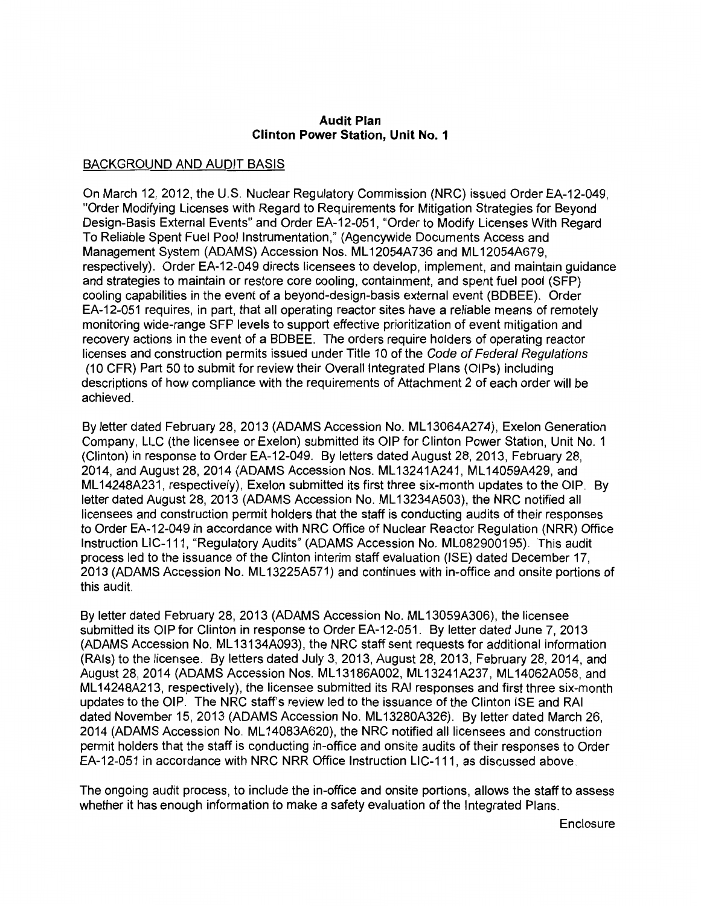#### **Audit Plan Clinton Power Station, Unit No. 1**

# BACKGROUND AND AUDIT BASIS

On March 12, 2012, the U.S. Nuclear Regulatory Commission (NRC) issued Order EA-12-049, "Order Modifying Licenses with Regard to Requirements for Mitigation Strategies for Beyond Design-Basis External Events" and Order EA-12-051, "Order to Modify Licenses With Regard To Reliable Spent Fuel Pool Instrumentation," (Agencywide Documents Access and Management System (ADAMS) Accession Nos. ML 12054A736 and ML 12054A679, respectively). Order EA-12-049 directs licensees to develop, implement, and maintain guidance and strategies to maintain or restore core cooling, containment, and spent fuel pool (SFP) cooling capabilities in the event of a beyond-design-basis external event (BDBEE). Order EA-12-051 requires, in part, that all operating reactor sites have a reliable means of remotely monitoring wide-range SFP levels to support effective prioritization of event mitigation and recovery actions in the event of a BDBEE. The orders require holders of operating reactor licenses and construction permits issued under Title 10 of the Code of Federal Regulations (10 CFR) Part 50 to submit for review their Overall Integrated Plans (OIPs) including descriptions of how compliance with the requirements of Attachment 2 of each order will be achieved.

By letter dated February 28, 2013 (ADAMS Accession No. ML 13064A274), Exelon Generation Company, LLC (the licensee or Exelon) submitted its OIP for Clinton Power Station, Unit No. 1 (Clinton) in response to Order EA-12-049. By letters dated August 28, 2013, February 28, 2014, and August 28, 2014 (ADAMS Accession Nos. ML 13241A241, ML 14059A429, and ML 14248A231, respectively), Exelon submitted its first three six-month updates to the OIP. By letter dated August 28, 2013 (ADAMS Accession No. ML13234A503), the NRC notified all licensees and construction permit holders that the staff is conducting audits of their responses to Order EA-12-049 in accordance with NRC Office of Nuclear Reactor Regulation (NRR) Office Instruction LIC-111, "Regulatory Audits" (ADAMS Accession No. ML082900195). This audit process led to the issuance of the Clinton interim staff evaluation (ISE) dated December 17, 2013 (ADAMS Accession No. ML 13225A571) and continues with in-office and onsite portions of this audit.

By letter dated February 28, 2013 (ADAMS Accession No. ML 13059A306), the licensee submitted its OIP for Clinton in response to Order EA-12-051. By letter dated June 7, 2013 (ADAMS Accession No. ML 13134A093), the NRC staff sent requests for additional information (RAls) to the licensee. By letters dated July 3, 2013, August 28, 2013, February 28, 2014, and August 28, 2014 (ADAMS Accession Nos. ML 13186A002, ML 13241A237, ML 14062A058, and ML 14248A213, respectively), the licensee submitted its RAI responses and first three six-month updates to the OIP. The NRC staff's review led to the issuance of the Clinton ISE and RAI dated November 15, 2013 (ADAMS Accession No. ML 13280A326). By letter dated March 26, 2014 (ADAMS Accession No. ML 14083A620), the NRC notified all licensees and construction permit holders that the staff is conducting in-office and onsite audits of their responses to Order EA-12-051 in accordance with NRC NRR Office Instruction LIC-111, as discussed above.

The ongoing audit process, to include the in-office and onsite portions, allows the staff to assess whether it has enough information to make a safety evaluation of the Integrated Plans.

Enclosure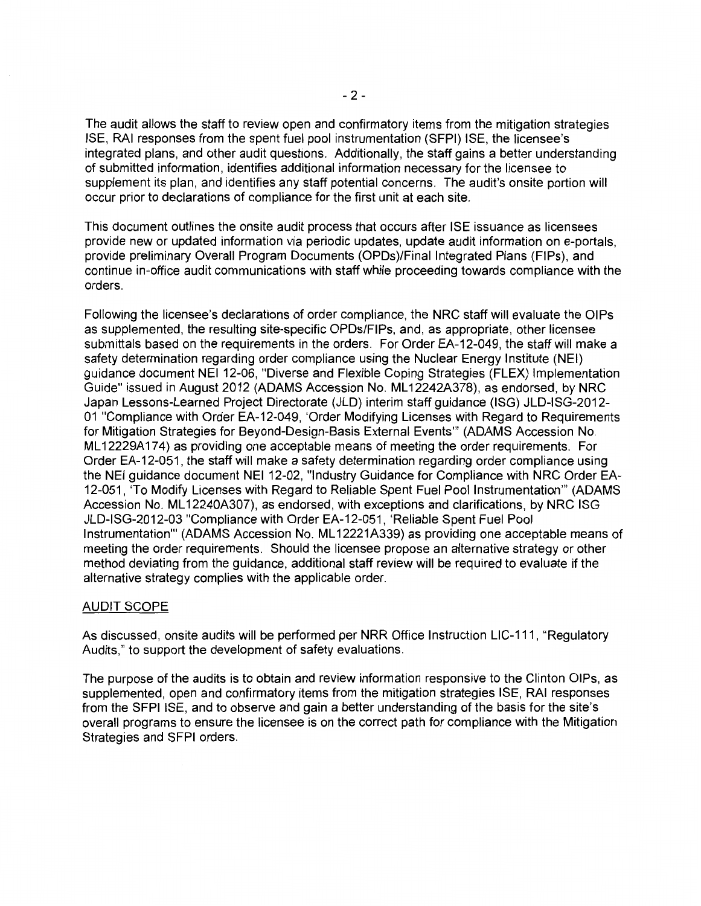The audit allows the staff to review open and confirmatory items from the mitigation strategies ISE, RAI responses from the spent fuel pool instrumentation (SFPI) ISE, the licensee's integrated plans, and other audit questions. Additionally, the staff gains a better understanding of submitted information, identifies additional information necessary for the licensee to supplement its plan, and identifies any staff potential concerns. The audit's onsite portion will occur prior to declarations of compliance for the first unit at each site.

This document outlines the onsite audit process that occurs after ISE issuance as licensees provide new or updated information via periodic updates, update audit information on e-portals, provide preliminary Overall Program Documents (OPDs)/Final Integrated Plans (FIPs), and continue in-office audit communications with staff while proceeding towards compliance with the orders.

Following the licensee's declarations of order compliance, the NRC staff will evaluate the OIPs as supplemented, the resulting site-specific OPDs/FIPs, and, as appropriate, other licensee submittals based on the requirements in the orders. For Order EA-12-049, the staff will make a safety determination regarding order compliance using the Nuclear Energy Institute (NEI) guidance document NEI 12-06, "Diverse and Flexible Coping Strategies (FLEX) Implementation Guide" issued in August 2012 (ADAMS Accession No. ML 12242A378), as endorsed, by NRC Japan Lessons-Learned Project Directorate (JLD) interim staff guidance (ISG) JLD-ISG-2012- 01 "Compliance with Order EA-12-049, 'Order Modifying Licenses with Regard to Requirements for Mitigation Strategies for Beyond-Design-Basis External Events"' (ADAMS Accession No. ML12229A174) as providing one acceptable means of meeting the order requirements. For Order EA-12-051, the staff will make a safety determination regarding order compliance using the NEI guidance document NEI 12-02, "Industry Guidance for Compliance with NRC Order EA-12-051, 'To Modify Licenses with Regard to Reliable Spent Fuel Pool Instrumentation"' (ADAMS Accession No. ML 12240A307), as endorsed, with exceptions and clarifications, by NRC ISG JLD-ISG-2012-03 "Compliance with Order EA-12-051, 'Reliable Spent Fuel Pool Instrumentation"' (ADAMS Accession No. ML 12221A339) as providing one acceptable means of meeting the order requirements. Should the licensee propose an alternative strategy or other method deviating from the guidance, additional staff review will be required to evaluate if the alternative strategy complies with the applicable order.

### AUDIT SCOPE

As discussed, onsite audits will be performed per NRR Office Instruction LIC-111, "Regulatory Audits," to support the development of safety evaluations.

The purpose of the audits is to obtain and review information responsive to the Clinton OIPs, as supplemented, open and confirmatory items from the mitigation strategies ISE, RAI responses from the SFPI ISE, and to observe and gain a better understanding of the basis for the site's overall programs to ensure the licensee is on the correct path for compliance with the Mitigation Strategies and SFPI orders.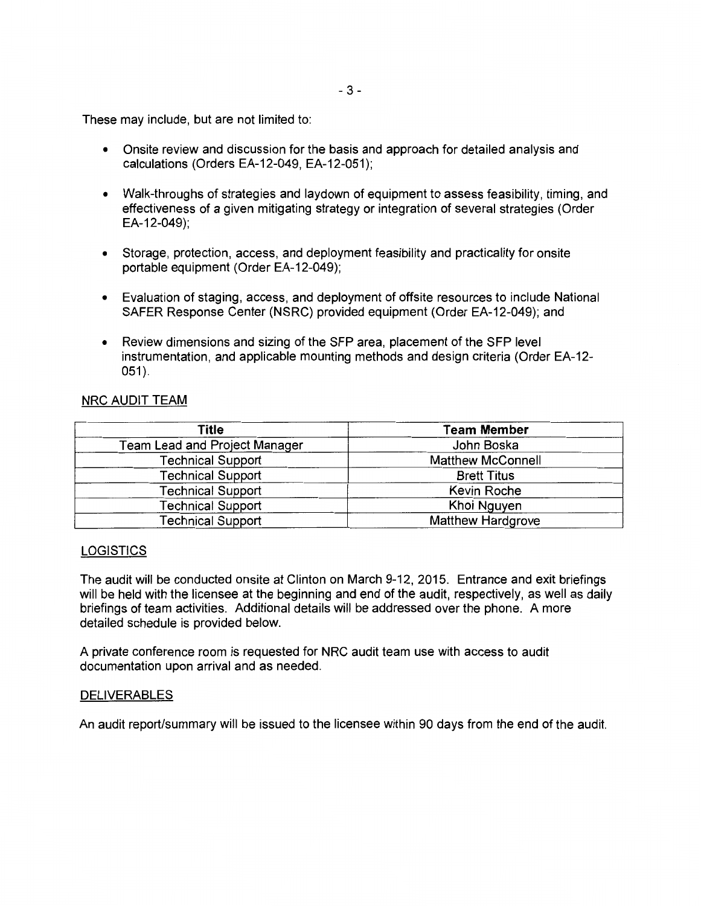These may include, but are not limited to:

- Onsite review and discussion for the basis and approach for detailed analysis and calculations (Orders EA-12-049, EA-12-051);
- Walk-throughs of strategies and laydown of equipment to assess feasibility, timing, and effectiveness of a given mitigating strategy or integration of several strategies (Order EA-12-049);
- Storage, protection, access, and deployment feasibility and practicality for onsite portable equipment (Order EA-12-049);
- Evaluation of staging, access, and deployment of offsite resources to include National SAFER Response Center (NSRC) provided equipment (Order EA-12-049); and
- Review dimensions and sizing of the SFP area, placement of the SFP level instrumentation, and applicable mounting methods and design criteria (Order EA-12- 051).

### NRC AUDIT TEAM

| Title                         | <b>Team Member</b>       |  |
|-------------------------------|--------------------------|--|
| Team Lead and Project Manager | John Boska               |  |
| <b>Technical Support</b>      | <b>Matthew McConnell</b> |  |
| <b>Technical Support</b>      | <b>Brett Titus</b>       |  |
| <b>Technical Support</b>      | Kevin Roche              |  |
| <b>Technical Support</b>      | Khoi Nguyen              |  |
| <b>Technical Support</b>      | <b>Matthew Hardgrove</b> |  |

#### LOGISTICS

The audit will be conducted onsite at Clinton on March 9-12, 2015. Entrance and exit briefings will be held with the licensee at the beginning and end of the audit, respectively, as well as daily briefings of team activities. Additional details will be addressed over the phone. A more detailed schedule is provided below.

A private conference room is requested for NRC audit team use with access to audit documentation upon arrival and as needed.

#### DELIVERABLES

An audit report/summary will be issued to the licensee within 90 days from the end of the audit.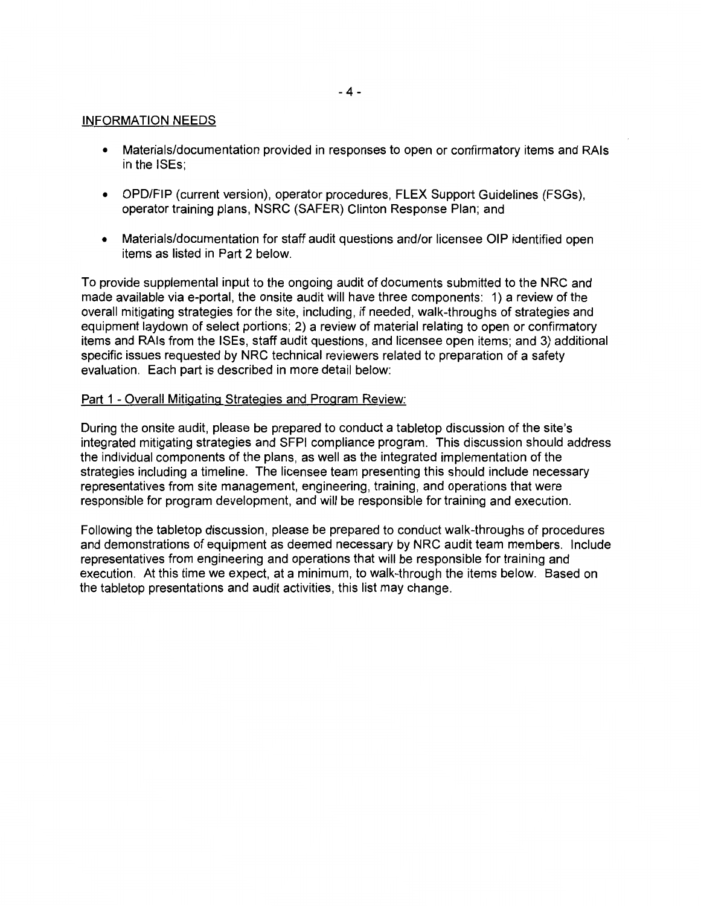### INFORMATION NEEDS

- Materials/documentation provided in responses to open or confirmatory items and RAls in the ISEs;
- OPD/FIP (current version), operator procedures, FLEX Support Guidelines (FSGs), operator training plans, NSRC (SAFER) Clinton Response Plan; and
- Materials/documentation for staff audit questions and/or licensee OIP identified open items as listed in Part 2 below.

To provide supplemental input to the ongoing audit of documents submitted to the NRC and made available via e-portal, the onsite audit will have three components: 1) a review of the overall mitigating strategies for the site, including, if needed, walk-throughs of strategies and equipment laydown of select portions; 2) a review of material relating to open or confirmatory items and RAls from the ISEs, staff audit questions, and licensee open items; and 3) additional specific issues requested by NRC technical reviewers related to preparation of a safety evaluation. Each part is described in more detail below:

### Part 1 - Overall Mitigating Strategies and Program Review:

During the onsite audit, please be prepared to conduct a tabletop discussion of the site's integrated mitigating strategies and SFPI compliance program. This discussion should address the individual components of the plans, as well as the integrated implementation of the strategies including a timeline. The licensee team presenting this should include necessary representatives from site management, engineering, training, and operations that were responsible for program development, and will be responsible for training and execution.

Following the tabletop discussion, please be prepared to conduct walk-throughs of procedures and demonstrations of equipment as deemed necessary by NRC audit team members. Include representatives from engineering and operations that will be responsible for training and execution. At this time we expect, at a minimum, to walk-through the items below. Based on the tabletop presentations and audit activities, this list may change.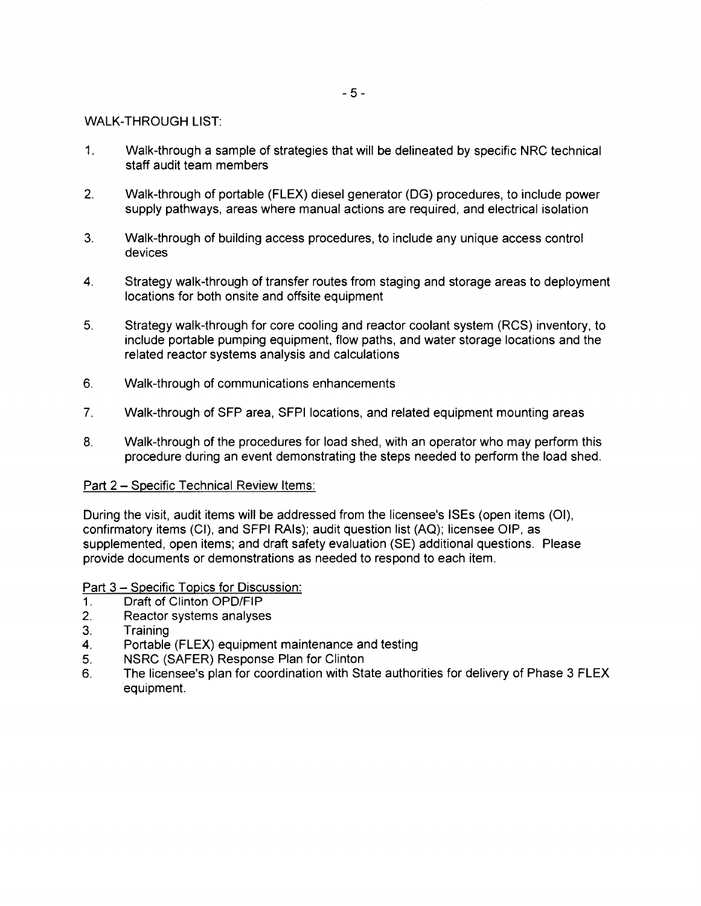#### WALK-THROUGH LIST:

- 1. Walk-through a sample of strategies that will be delineated by specific NRC technical staff audit team members
- 2. Walk-through of portable (FLEX) diesel generator (DG) procedures, to include power supply pathways, areas where manual actions are required, and electrical isolation
- 3. Walk-through of building access procedures, to include any unique access control devices
- 4. Strategy walk-through of transfer routes from staging and storage areas to deployment locations for both onsite and offsite equipment
- 5. Strategy walk-through for core cooling and reactor coolant system (RCS) inventory, to include portable pumping equipment, flow paths, and water storage locations and the related reactor systems analysis and calculations
- 6. Walk-through of communications enhancements
- 7. Walk-through of SFP area, SFPI locations, and related equipment mounting areas
- 8. Walk-through of the procedures for load shed, with an operator who may perform this procedure during an event demonstrating the steps needed to perform the load shed.

### Part 2 - Specific Technical Review Items:

During the visit, audit items will be addressed from the licensee's ISEs (open items (01), confirmatory items (Cl), and SFPI RAls); audit question list (AQ); licensee OIP, as supplemented, open items; and draft safety evaluation (SE) additional questions. Please provide documents or demonstrations as needed to respond to each item.

#### Part 3 - Specific Topics for Discussion:

- 1. Draft of Clinton OPD/FIP
- 2. Reactor systems analyses
- 3. Training
- 4. Portable (FLEX) equipment maintenance and testing
- 5. NSRC (SAFER) Response Plan for Clinton
- 6. The licensee's plan for coordination with State authorities for delivery of Phase 3 FLEX equipment.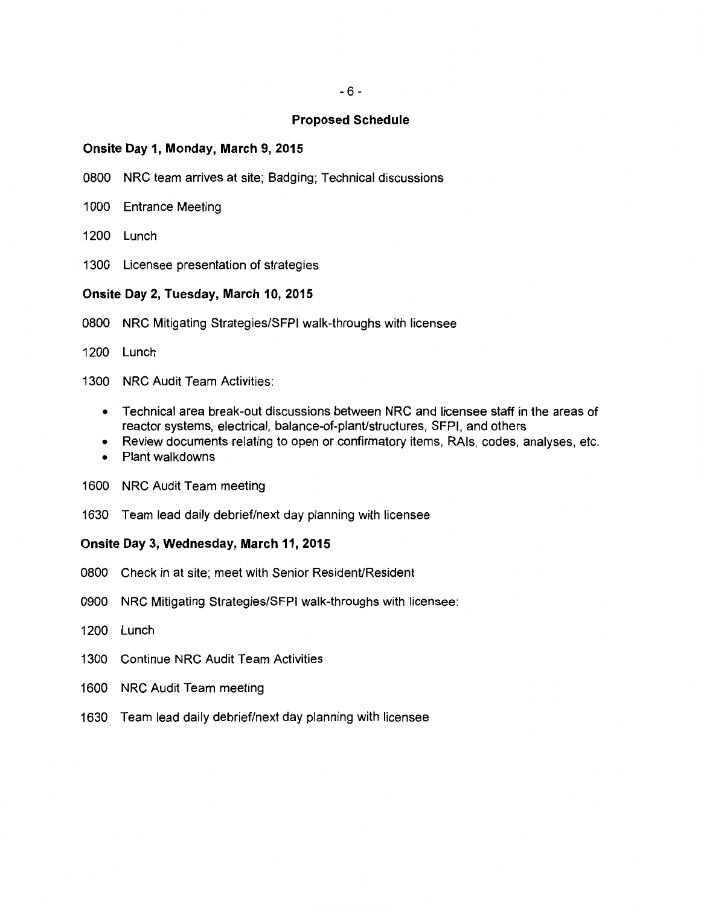#### **Proposed Schedule**

#### **Onsite Day 1, Monday, March 9, 2015**

- 0800 NRC team arrives at site; Badging; Technical discussions
- 1000 Entrance Meeting
- 1200 Lunch
- 1300 Licensee presentation of strategies

### **Onsite Day 2, Tuesday, March 10, 2015**

- 0800 NRC Mitigating Strategies/SFPI walk-throughs with licensee
- 1200 Lunch
- 1300 NRC Audit Team Activities:
	- Technical area break-out discussions between NRC and licensee staff in the areas of reactor systems, electrical, balance-of-plant/structures, SFPI, and others
	- Review documents relating to open or confirmatory items, RAls, codes, analyses, etc.
	- Plant walkdowns
- 1600 NRC Audit Team meeting
- 1630 Team lead daily debrief/next day planning with licensee

## **Onsite Day 3, Wednesday, March 11, 2015**

- 0800 Check in at site; meet with Senior Resident/Resident
- 0900 NRC Mitigating Strategies/SFPI walk-throughs with licensee:
- 1200 Lunch
- 1300 Continue NRC Audit Team Activities
- 1600 NRC Audit Team meeting
- 1630 Team lead daily debrief/next day planning with licensee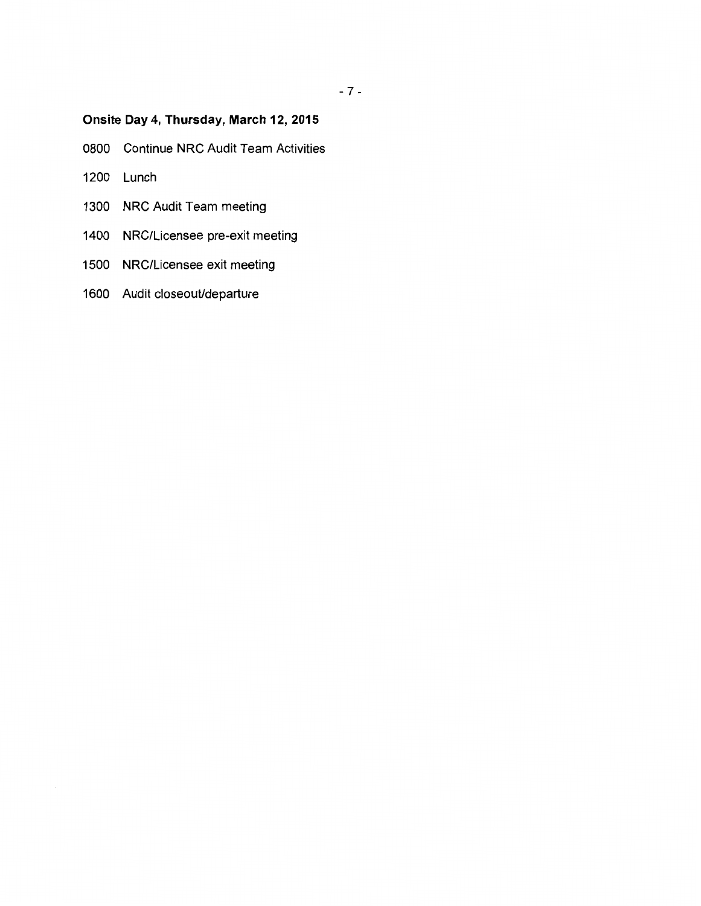# **Onsite Day 4, Thursday, March 12, 2015**

- 0800 Continue NRC Audit Team Activities
- 1200 Lunch
- 1300 NRC Audit Team meeting
- 1400 NRG/Licensee pre-exit meeting
- 1500 NRG/Licensee exit meeting
- 1600 Audit closeout/departure